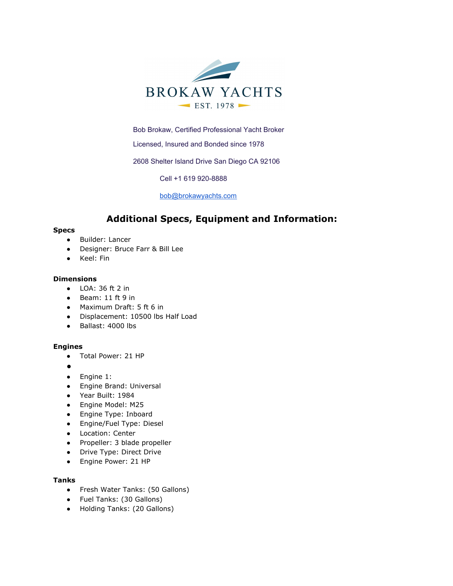

Bob Brokaw, Certified Professional Yacht Broker

Licensed, Insured and Bonded since 1978

2608 Shelter Island Drive San Diego CA 92106

Cell +1 619 920-8888

[bob@brokawyachts.com](mailto:bob@brokawyachts.com)

# **Additional Specs, Equipment and Information:**

### **Specs**

- Builder: Lancer
- Designer: Bruce Farr & Bill Lee
- Keel: Fin

### **Dimensions**

- LOA: 36 ft 2 in
- Beam: 11 ft 9 in
- Maximum Draft: 5 ft 6 in
- Displacement: 10500 lbs Half Load
- Ballast: 4000 lbs

### **Engines**

- Total Power: 21 HP
- $\bullet$
- Engine 1:
- Engine Brand: Universal
- Year Built: 1984
- Engine Model: M25
- Engine Type: Inboard
- Engine/Fuel Type: Diesel
- Location: Center
- Propeller: 3 blade propeller
- Drive Type: Direct Drive
- Engine Power: 21 HP

### **Tanks**

- Fresh Water Tanks: (50 Gallons)
- Fuel Tanks: (30 Gallons)
- Holding Tanks: (20 Gallons)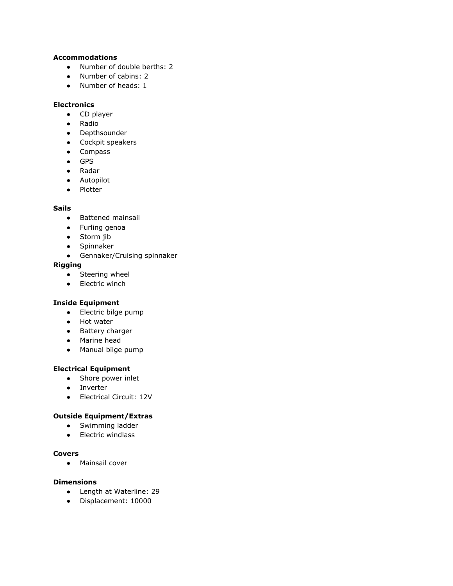# **Accommodations**

- Number of double berths: 2
- Number of cabins: 2
- Number of heads: 1

## **Electronics**

- CD player
- Radio
- Depthsounder
- Cockpit speakers
- Compass
- GPS
- Radar
- Autopilot
- Plotter

# **Sails**

- Battened mainsail
- Furling genoa
- Storm jib
- Spinnaker
- Gennaker/Cruising spinnaker

# **Rigging**

- Steering wheel
- Electric winch

# **Inside Equipment**

- Electric bilge pump
- Hot water
- Battery charger
- Marine head
- Manual bilge pump

# **Electrical Equipment**

- Shore power inlet
- Inverter
- Electrical Circuit: 12V

## **Outside Equipment/Extras**

- Swimming ladder
- Electric windlass

### **Covers**

● Mainsail cover

# **Dimensions**

- Length at Waterline: 29
- Displacement: 10000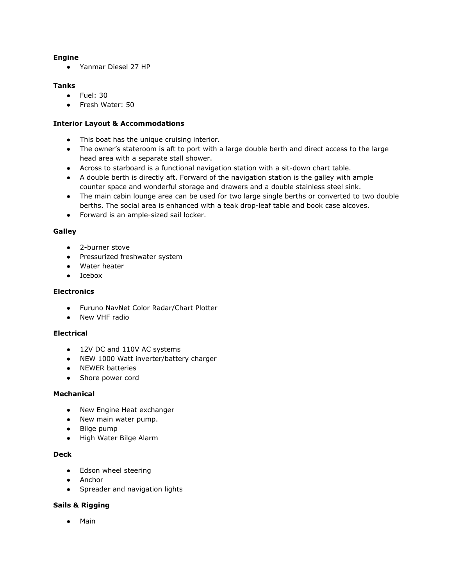## **Engine**

● Yanmar Diesel 27 HP

## **Tanks**

- Fuel: 30
- Fresh Water: 50

## **Interior Layout & Accommodations**

- This boat has the unique cruising interior.
- The owner's stateroom is aft to port with a large double berth and direct access to the large head area with a separate stall shower.
- Across to starboard is a functional navigation station with a sit-down chart table.
- A double berth is directly aft. Forward of the navigation station is the galley with ample counter space and wonderful storage and drawers and a double stainless steel sink.
- The main cabin lounge area can be used for two large single berths or converted to two double berths. The social area is enhanced with a teak drop-leaf table and book case alcoves.
- Forward is an ample-sized sail locker.

## **Galley**

- 2-burner stove
- Pressurized freshwater system
- Water heater
- Icebox

## **Electronics**

- Furuno NavNet Color Radar/Chart Plotter
- New VHF radio

## **Electrical**

- 12V DC and 110V AC systems
- NEW 1000 Watt inverter/battery charger
- NEWER batteries
- Shore power cord

### **Mechanical**

- New Engine Heat exchanger
- New main water pump.
- Bilge pump
- High Water Bilge Alarm

## **Deck**

- Edson wheel steering
- Anchor
- Spreader and navigation lights

### **Sails & Rigging**

● Main